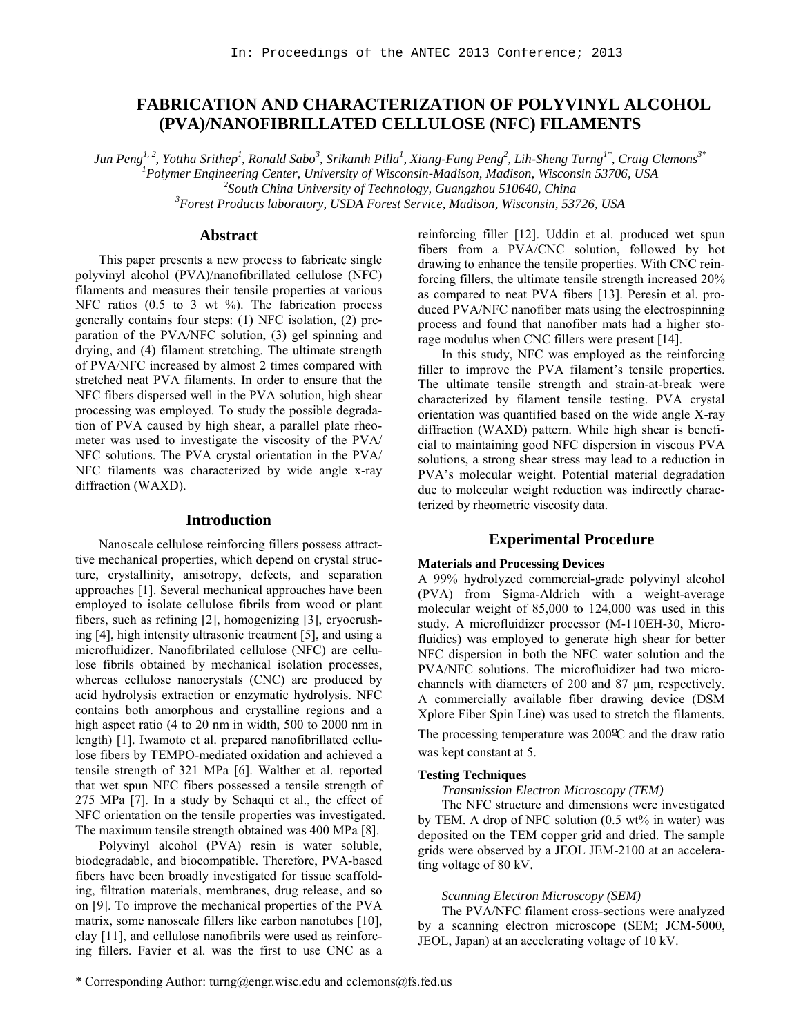# **FABRICATION AND CHARACTERIZATION OF POLYVINYL ALCOHOL (PVA)/NANOFIBRILLATED CELLULOSE (NFC) FILAMENTS**

 $J$ un Peng<sup>1, 2</sup>, Yottha Srithep<sup>1</sup>, Ronald Sabo<sup>3</sup>, Srikanth Pilla<sup>1</sup>, Xiang-Fang Peng<sup>2</sup>, Lih-Sheng Turng<sup>1\*</sup>, Craig Clemons<sup>3\*</sup> *1 Polymer Engineering Center, University of Wisconsin-Madison, Madison, Wisconsin 53706, USA <sup>2</sup> South China University of Technology, Guangzhou 510640, China <sup>3</sup> Forest Products laboratory, USDA Forest Service, Madison, Wisconsin, 53726, USA*

# **Abstract**

This paper presents a new process to fabricate single polyvinyl alcohol (PVA)/nanofibrillated cellulose (NFC) filaments and measures their tensile properties at various NFC ratios (0.5 to 3 wt %). The fabrication process generally contains four steps: (1) NFC isolation, (2) preparation of the PVA/NFC solution, (3) gel spinning and drying, and (4) filament stretching. The ultimate strength of PVA/NFC increased by almost 2 times compared with stretched neat PVA filaments. In order to ensure that the NFC fibers dispersed well in the PVA solution, high shear processing was employed. To study the possible degradation of PVA caused by high shear, a parallel plate rheometer was used to investigate the viscosity of the PVA/ NFC solutions. The PVA crystal orientation in the PVA/ NFC filaments was characterized by wide angle x-ray diffraction (WAXD).

#### **Introduction**

Nanoscale cellulose reinforcing fillers possess attracttive mechanical properties, which depend on crystal structure, crystallinity, anisotropy, defects, and separation approaches [1]. Several mechanical approaches have been employed to isolate cellulose fibrils from wood or plant fibers, such as refining [2], homogenizing [3], cryocrushing [4], high intensity ultrasonic treatment [5], and using a microfluidizer. Nanofibrilated cellulose (NFC) are cellulose fibrils obtained by mechanical isolation processes, whereas cellulose nanocrystals (CNC) are produced by acid hydrolysis extraction or enzymatic hydrolysis. NFC contains both amorphous and crystalline regions and a high aspect ratio (4 to 20 nm in width, 500 to 2000 nm in length) [1]. Iwamoto et al. prepared nanofibrillated cellulose fibers by TEMPO-mediated oxidation and achieved a tensile strength of 321 MPa [6]. Walther et al. reported that wet spun NFC fibers possessed a tensile strength of 275 MPa [7]. In a study by Sehaqui et al., the effect of NFC orientation on the tensile properties was investigated. The maximum tensile strength obtained was 400 MPa [8].

Polyvinyl alcohol (PVA) resin is water soluble, biodegradable, and biocompatible. Therefore, PVA-based fibers have been broadly investigated for tissue scaffolding, filtration materials, membranes, drug release, and so on [9]. To improve the mechanical properties of the PVA matrix, some nanoscale fillers like carbon nanotubes [10], clay [11], and cellulose nanofibrils were used as reinforcing fillers. Favier et al. was the first to use CNC as a reinforcing filler [12]. Uddin et al. produced wet spun fibers from a PVA/CNC solution, followed by hot drawing to enhance the tensile properties. With CNC reinforcing fillers, the ultimate tensile strength increased 20% as compared to neat PVA fibers [13]. Peresin et al. produced PVA/NFC nanofiber mats using the electrospinning process and found that nanofiber mats had a higher storage modulus when CNC fillers were present [14].

In this study, NFC was employed as the reinforcing filler to improve the PVA filament's tensile properties. The ultimate tensile strength and strain-at-break were characterized by filament tensile testing. PVA crystal orientation was quantified based on the wide angle X-ray diffraction (WAXD) pattern. While high shear is beneficial to maintaining good NFC dispersion in viscous PVA solutions, a strong shear stress may lead to a reduction in PVA's molecular weight. Potential material degradation due to molecular weight reduction was indirectly characterized by rheometric viscosity data.

# **Experimental Procedure**

#### **Materials and Processing Devices**

A 99% hydrolyzed commercial-grade polyvinyl alcohol (PVA) from Sigma-Aldrich with a weight-average molecular weight of 85,000 to 124,000 was used in this study. A microfluidizer processor (M-110EH-30, Microfluidics) was employed to generate high shear for better NFC dispersion in both the NFC water solution and the PVA/NFC solutions. The microfluidizer had two microchannels with diameters of 200 and 87 µm, respectively. A commercially available fiber drawing device (DSM Xplore Fiber Spin Line) was used to stretch the filaments.

The processing temperature was 200ºC and the draw ratio was kept constant at 5.

#### **Testing Techniques**

*Transmission Electron Microscopy (TEM)*

The NFC structure and dimensions were investigated by TEM. A drop of NFC solution (0.5 wt% in water) was deposited on the TEM copper grid and dried. The sample grids were observed by a JEOL JEM-2100 at an accelerating voltage of 80 kV.

#### *Scanning Electron Microscopy (SEM)*

The PVA/NFC filament cross-sections were analyzed by a scanning electron microscope (SEM; JCM-5000, JEOL, Japan) at an accelerating voltage of 10 kV.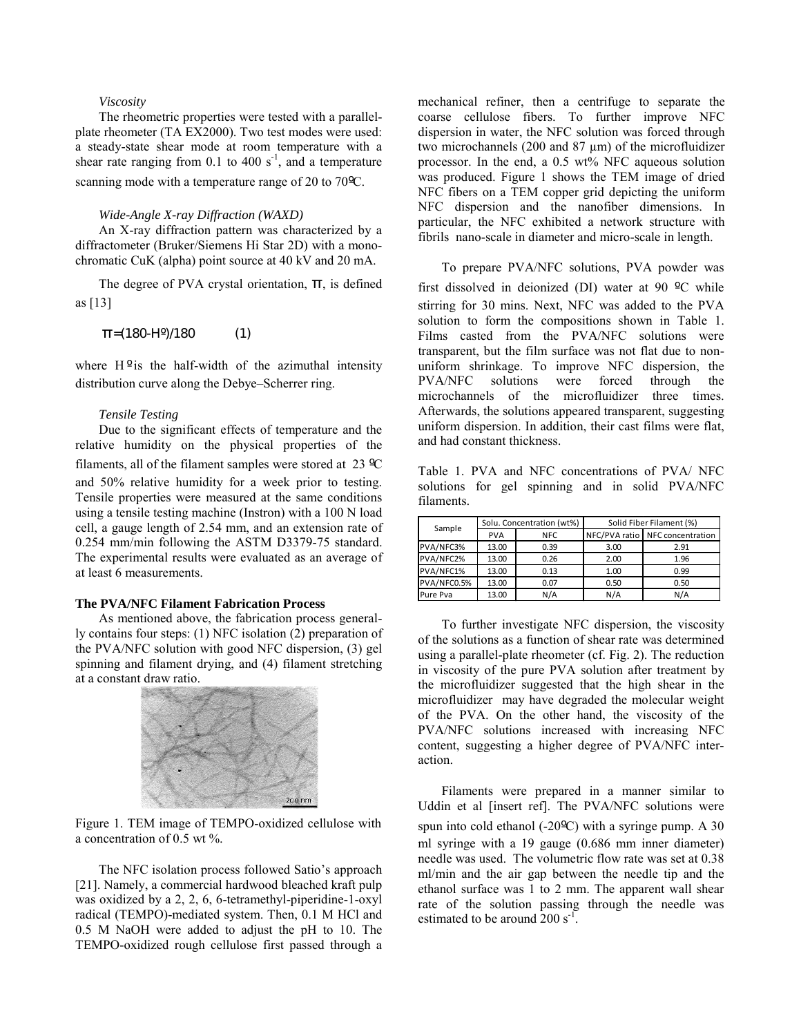## *Viscosity*

The rheometric properties were tested with a parallelplate rheometer (TA EX2000). Two test modes were used: a steady-state shear mode at room temperature with a shear rate ranging from 0.1 to 400  $s^{-1}$ , and a temperature scanning mode with a temperature range of 20 to 70ºC.

#### *Wide-Angle X-ray Diffraction (WAXD)*

An X-ray diffraction pattern was characterized by a diffractometer (Bruker/Siemens Hi Star 2D) with a monochromatic CuK (alpha) point source at 40 kV and 20 mA.

The degree of PVA crystal orientation,  $\Pi$ , is defined as [13]

$$
\pi = (180 - H^{\circ})/180 \tag{1}
$$

where  $H^o$  is the half-width of the azimuthal intensity distribution curve along the Debye–Scherrer ring.

#### *Tensile Testing*

Due to the significant effects of temperature and the relative humidity on the physical properties of the filaments, all of the filament samples were stored at 23 ºC and 50% relative humidity for a week prior to testing. Tensile properties were measured at the same conditions using a tensile testing machine (Instron) with a 100 N load cell, a gauge length of 2.54 mm, and an extension rate of 0.254 mm/min following the ASTM D3379-75 standard. The experimental results were evaluated as an average of at least 6 measurements.

#### **The PVA/NFC Filament Fabrication Process**

As mentioned above, the fabrication process generally contains four steps: (1) NFC isolation (2) preparation of the PVA/NFC solution with good NFC dispersion, (3) gel spinning and filament drying, and (4) filament stretching at a constant draw ratio.



Figure 1. TEM image of TEMPO-oxidized cellulose with a concentration of 0.5 wt %.

The NFC isolation process followed Satio's approach [21]. Namely, a commercial hardwood bleached kraft pulp was oxidized by a 2, 2, 6, 6-tetramethyl-piperidine-1-oxyl radical (TEMPO)-mediated system. Then, 0.1 M HCl and 0.5 M NaOH were added to adjust the pH to 10. The TEMPO-oxidized rough cellulose first passed through a

mechanical refiner, then a centrifuge to separate the coarse cellulose fibers. To further improve NFC dispersion in water, the NFC solution was forced through two microchannels (200 and 87 µm) of the microfluidizer processor. In the end, a 0.5 wt% NFC aqueous solution was produced. Figure 1 shows the TEM image of dried NFC fibers on a TEM copper grid depicting the uniform NFC dispersion and the nanofiber dimensions. In particular, the NFC exhibited a network structure with fibrils nano-scale in diameter and micro-scale in length.

To prepare PVA/NFC solutions, PVA powder was first dissolved in deionized (DI) water at 90 ºC while stirring for 30 mins. Next, NFC was added to the PVA solution to form the compositions shown in Table 1. Films casted from the PVA/NFC solutions were transparent, but the film surface was not flat due to nonuniform shrinkage. To improve NFC dispersion, the PVA/NFC solutions were forced through the microchannels of the microfluidizer three times. Afterwards, the solutions appeared transparent, suggesting uniform dispersion. In addition, their cast films were flat, and had constant thickness.

Table 1. PVA and NFC concentrations of PVA/ NFC solutions for gel spinning and in solid PVA/NFC filaments.

| Sample      | Solu. Concentration (wt%) |            | Solid Fiber Filament (%) |                                 |  |
|-------------|---------------------------|------------|--------------------------|---------------------------------|--|
|             | <b>PVA</b>                | <b>NFC</b> |                          | NFC/PVA ratio NFC concentration |  |
| PVA/NFC3%   | 13.00                     | 0.39       | 3.00                     | 2.91                            |  |
| PVA/NFC2%   | 13.00                     | 0.26       | 2.00                     | 1.96                            |  |
| PVA/NFC1%   | 13.00                     | 0.13       | 1.00                     | 0.99                            |  |
| PVA/NFC0.5% | 13.00                     | 0.07       | 0.50                     | 0.50                            |  |
| Pure Pva    | 13.00                     | N/A        | N/A                      | N/A                             |  |

To further investigate NFC dispersion, the viscosity of the solutions as a function of shear rate was determined using a parallel-plate rheometer (cf. Fig. 2). The reduction in viscosity of the pure PVA solution after treatment by the microfluidizer suggested that the high shear in the microfluidizer may have degraded the molecular weight of the PVA. On the other hand, the viscosity of the PVA/NFC solutions increased with increasing NFC content, suggesting a higher degree of PVA/NFC interaction.

Filaments were prepared in a manner similar to Uddin et al [insert ref]. The PVA/NFC solutions were spun into cold ethanol (-20ºC) with a syringe pump. A 30 ml syringe with a 19 gauge (0.686 mm inner diameter) needle was used. The volumetric flow rate was set at 0.38 ml/min and the air gap between the needle tip and the ethanol surface was 1 to 2 mm. The apparent wall shear rate of the solution passing through the needle was estimated to be around  $200 \text{ s}^{-1}$ .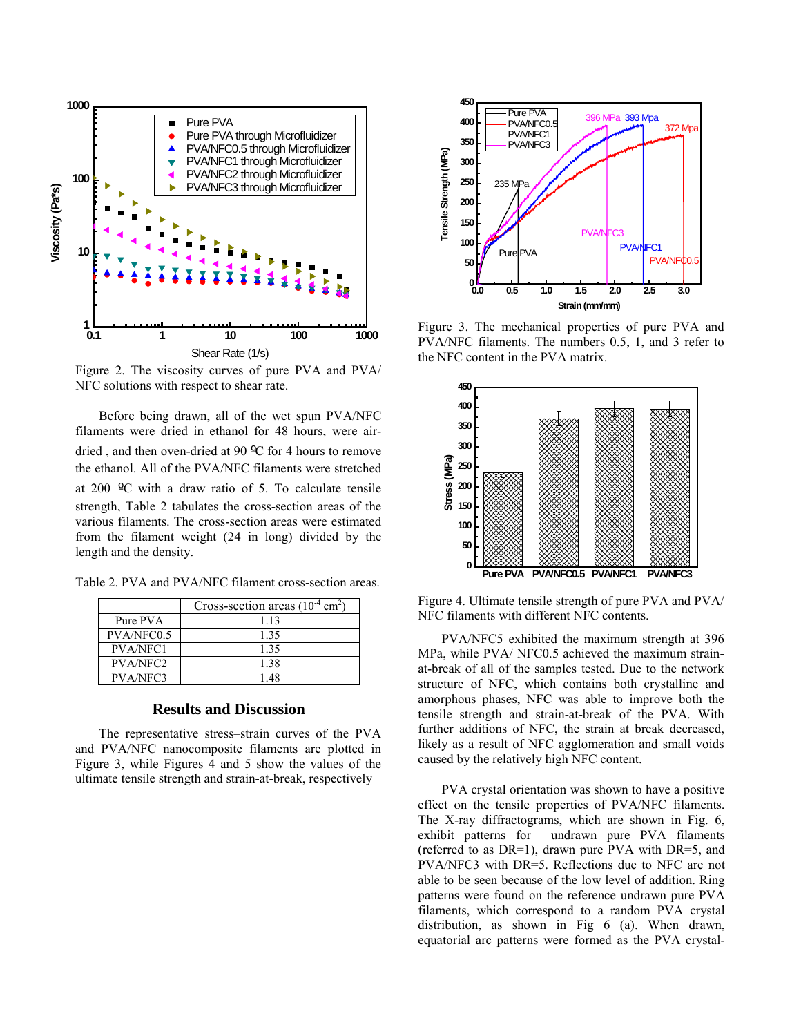

Figure 2. The viscosity curves of pure PVA and PVA/ NFC solutions with respect to shear rate.

Before being drawn, all of the wet spun PVA/NFC filaments were dried in ethanol for 48 hours, were airdried , and then oven-dried at 90 ºC for 4 hours to remove the ethanol. All of the PVA/NFC filaments were stretched at 200 ºC with a draw ratio of 5. To calculate tensile strength, Table 2 tabulates the cross-section areas of the various filaments. The cross-section areas were estimated from the filament weight (24 in long) divided by the length and the density.

Table 2. PVA and PVA/NFC filament cross-section areas.

|                 | Cross-section areas $(10^{-4} \text{ cm}^2)$ |  |
|-----------------|----------------------------------------------|--|
| Pure PVA        | 1 1 3                                        |  |
| PVA/NFC0.5      | 135                                          |  |
| <b>PVA/NFC1</b> | 1 35                                         |  |
| PVA/NFC2        | 1 38                                         |  |
| <b>PVA/NFC3</b> | 148                                          |  |

# **Results and Discussion**

The representative stress–strain curves of the PVA and PVA/NFC nanocomposite filaments are plotted in Figure 3, while Figures 4 and 5 show the values of the ultimate tensile strength and strain-at-break, respectively



Figure 3. The mechanical properties of pure PVA and PVA/NFC filaments. The numbers 0.5, 1, and 3 refer to the NFC content in the PVA matrix.



Figure 4. Ultimate tensile strength of pure PVA and PVA/ NFC filaments with different NFC contents.

PVA/NFC5 exhibited the maximum strength at 396 MPa, while PVA/ NFC0.5 achieved the maximum strainat-break of all of the samples tested. Due to the network structure of NFC, which contains both crystalline and amorphous phases, NFC was able to improve both the tensile strength and strain-at-break of the PVA. With further additions of NFC, the strain at break decreased, likely as a result of NFC agglomeration and small voids caused by the relatively high NFC content.

PVA crystal orientation was shown to have a positive effect on the tensile properties of PVA/NFC filaments. The X-ray diffractograms, which are shown in Fig. 6, exhibit patterns for undrawn pure PVA filaments (referred to as DR=1), drawn pure PVA with DR=5, and PVA/NFC3 with DR=5. Reflections due to NFC are not able to be seen because of the low level of addition. Ring patterns were found on the reference undrawn pure PVA filaments, which correspond to a random PVA crystal distribution, as shown in Fig 6 (a). When drawn, equatorial arc patterns were formed as the PVA crystal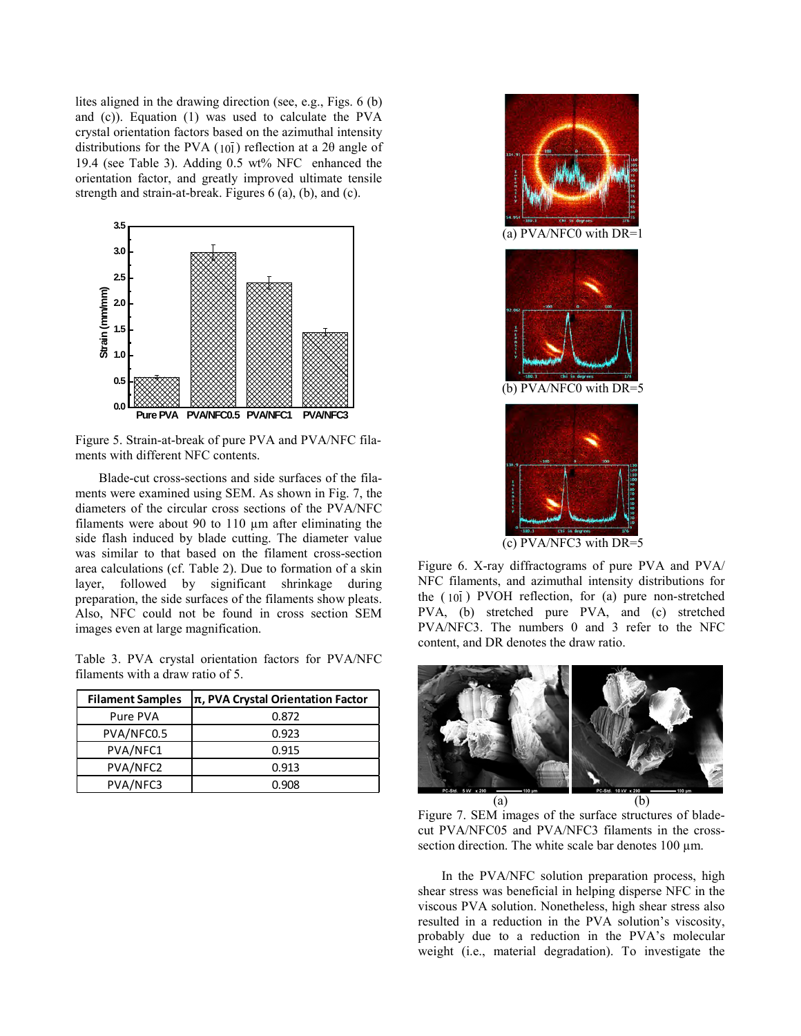lites aligned in the drawing direction (see, e.g., Figs. 6 (b) and (c)). Equation (1) was used to calculate the PVA crystal orientation factors based on the azimuthal intensity distributions for the PVA ( $10\bar{1}$ ) reflection at a 2 $\theta$  angle of 19.4 (see Table 3). Adding 0.5 wt% NFC enhanced the orientation factor, and greatly improved ultimate tensile strength and strain-at-break. Figures 6 (a), (b), and (c).



Figure 5. Strain-at-break of pure PVA and PVA/NFC filaments with different NFC contents.

Blade-cut cross-sections and side surfaces of the filaments were examined using SEM. As shown in Fig. 7, the diameters of the circular cross sections of the PVA/NFC filaments were about 90 to 110 µm after eliminating the side flash induced by blade cutting. The diameter value was similar to that based on the filament cross-section area calculations (cf. Table 2). Due to formation of a skin layer, followed by significant shrinkage during preparation, the side surfaces of the filaments show pleats. Also, NFC could not be found in cross section SEM images even at large magnification.

Table 3. PVA crystal orientation factors for PVA/NFC filaments with a draw ratio of 5.

| <b>Filament Samples</b> | $ \pi$ , PVA Crystal Orientation Factor |  |  |
|-------------------------|-----------------------------------------|--|--|
| Pure PVA                | 0.872                                   |  |  |
| PVA/NFC0.5              | 0.923                                   |  |  |
| PVA/NFC1                | 0.915                                   |  |  |
| PVA/NFC2                | 0.913                                   |  |  |
| PVA/NFC3                | 0.908                                   |  |  |



Figure 6. X-ray diffractograms of pure PVA and PVA/ NFC filaments, and azimuthal intensity distributions for the  $(10\bar{1})$  PVOH reflection, for (a) pure non-stretched PVA, (b) stretched pure PVA, and (c) stretched PVA/NFC3. The numbers 0 and 3 refer to the NFC content, and DR denotes the draw ratio.



Figure 7. SEM images of the surface structures of bladecut PVA/NFC05 and PVA/NFC3 filaments in the crosssection direction. The white scale bar denotes  $100 \mu m$ .

In the PVA/NFC solution preparation process, high shear stress was beneficial in helping disperse NFC in the viscous PVA solution. Nonetheless, high shear stress also resulted in a reduction in the PVA solution's viscosity, probably due to a reduction in the PVA's molecular weight (i.e., material degradation). To investigate the